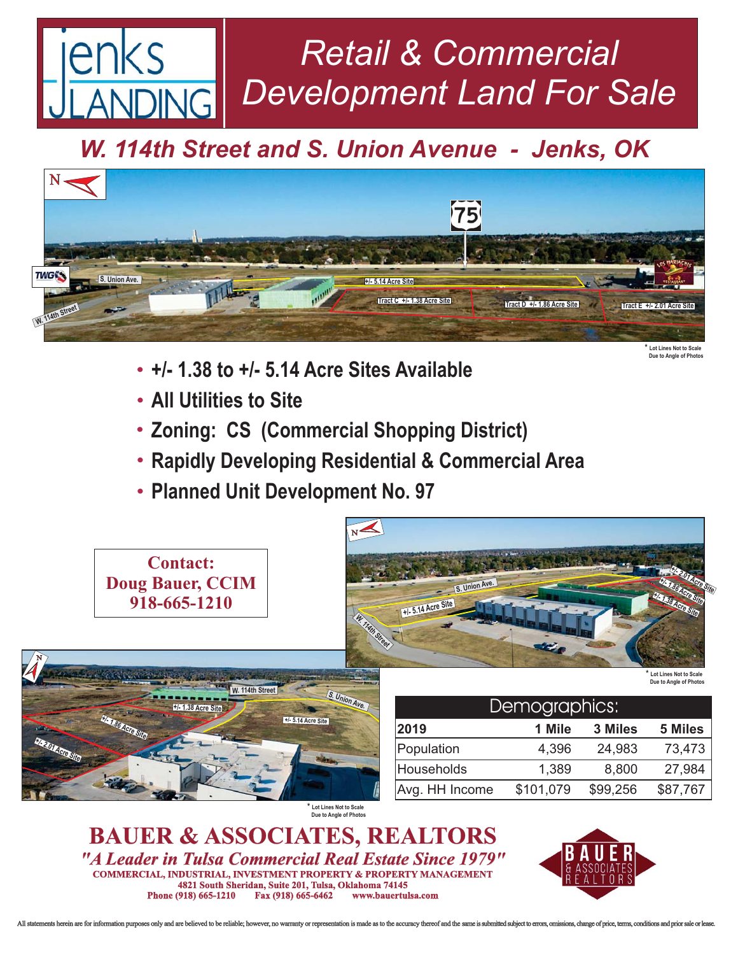## *Retail & Commercial Development Land For Sale* **JING**

*W. 114th Street and S. Union Avenue - Jenks, OK*



- **+/- 1.38 to +/- 5.14 Acre Sites Available** -
- **All Utilities to Site** -
- **Zoning: CS (Commercial Shopping District)** -
- **Rapidly Developing Residential & Commercial Area** -
- **Planned Unit Development No. 97** -



*"A Leader in Tulsa Commercial Real Estate Since 1979"* **COMMERCIAL, INDUSTRIAL, INVESTMENT PROPERTY & PROPERTY MANAGEMENT 4821 South Sheridan, Suite 201, Tulsa, Oklahoma 74145 Phone (918) 665-1210** 



**Due to Angle of Photos**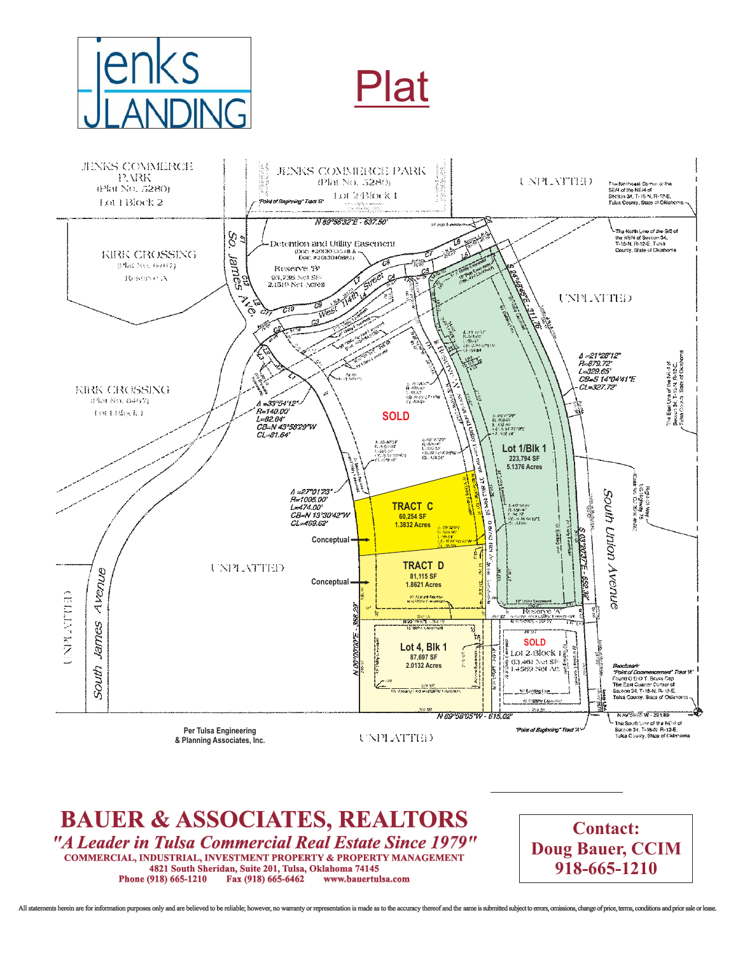





**BAUER & ASSOCIATES, REALTORS 4821 South Sheridan, Suite 201, Tulsa, Oklahoma 74145** *"A Leader in Tulsa Commercial Real Estate Since 1979"* **Phone (918) 665-1210 COMMERCIAL, INDUSTRIAL, INVESTMENT PROPERTY & PROPERTY MANAGEMENT**

**Contact: Doug Bauer, CCIM 918-665-1210**

ents herein are for information purposes only and are believed to be reliable: however, no warranty or representation is made as to the accuracy thereof and the same is submitted subject to errors, omissions, change of nri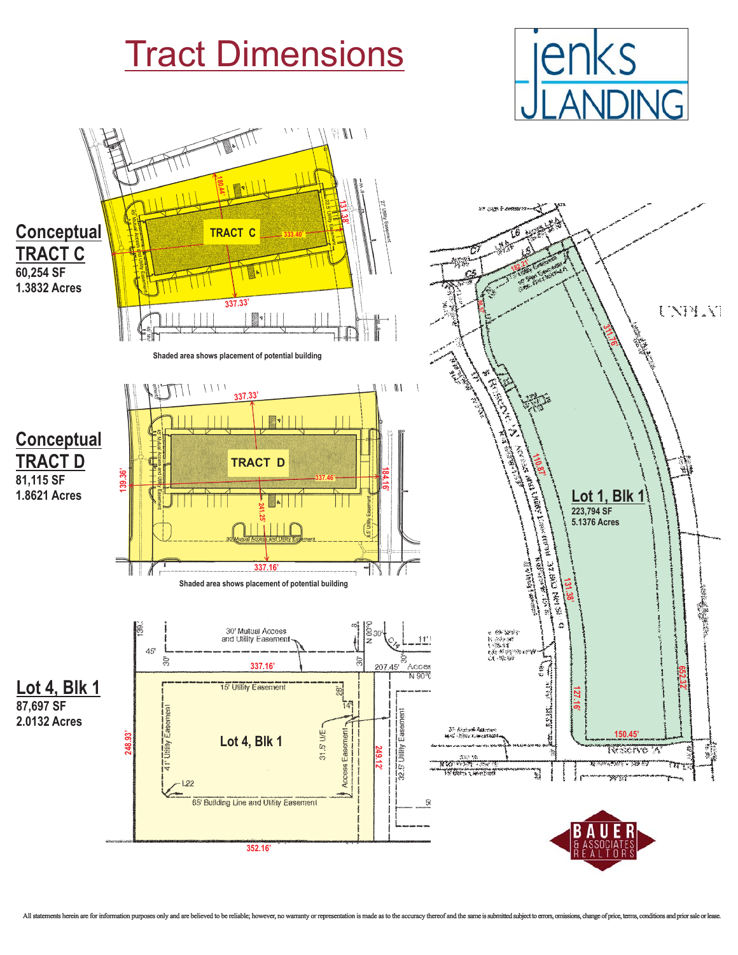



**352.16'**